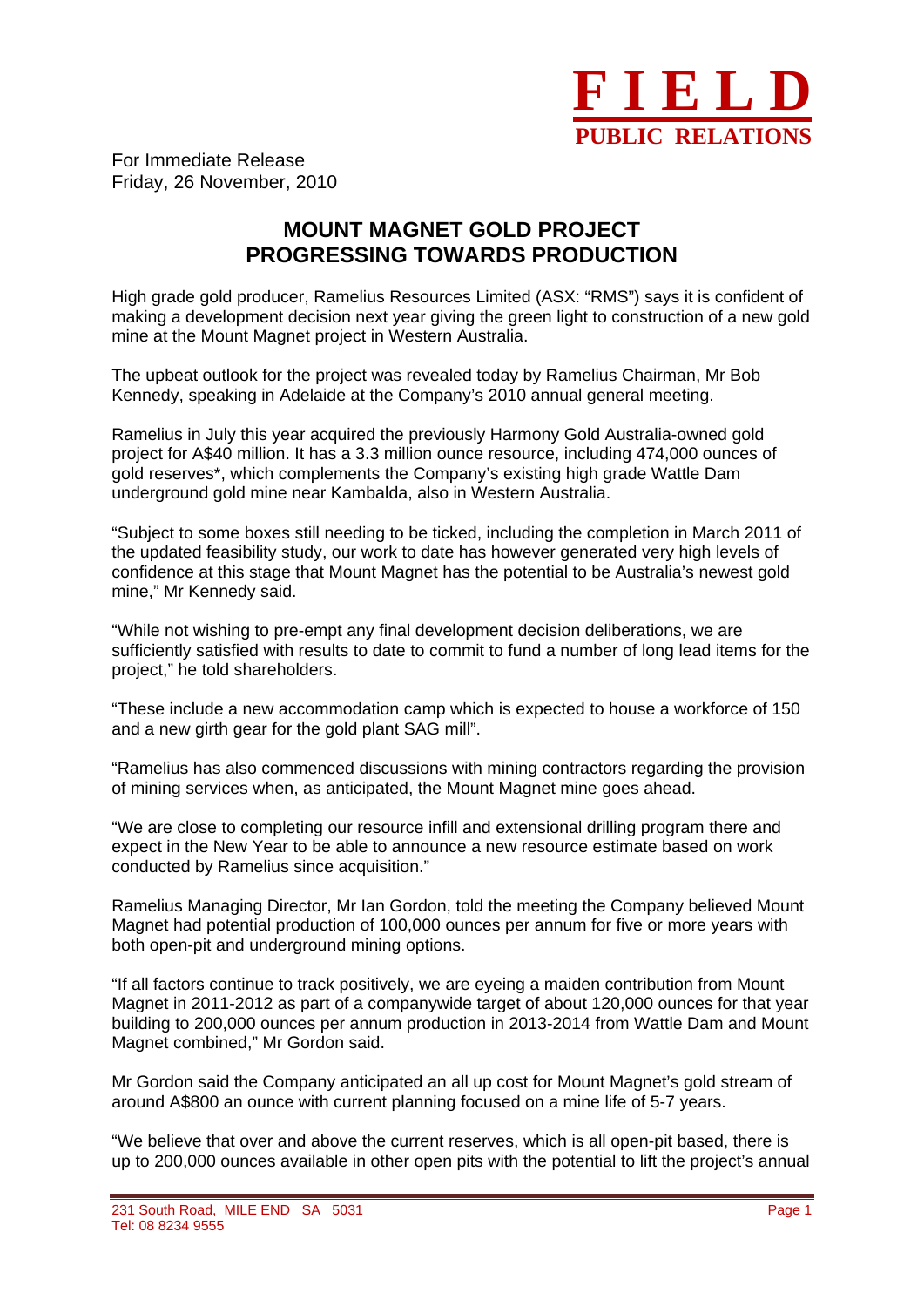

For Immediate Release Friday, 26 November, 2010

## **MOUNT MAGNET GOLD PROJECT PROGRESSING TOWARDS PRODUCTION**

High grade gold producer, Ramelius Resources Limited (ASX: "RMS") says it is confident of making a development decision next year giving the green light to construction of a new gold mine at the Mount Magnet project in Western Australia.

The upbeat outlook for the project was revealed today by Ramelius Chairman, Mr Bob Kennedy, speaking in Adelaide at the Company's 2010 annual general meeting.

Ramelius in July this year acquired the previously Harmony Gold Australia-owned gold project for A\$40 million. It has a 3.3 million ounce resource, including 474,000 ounces of gold reserves\*, which complements the Company's existing high grade Wattle Dam underground gold mine near Kambalda, also in Western Australia.

"Subject to some boxes still needing to be ticked, including the completion in March 2011 of the updated feasibility study, our work to date has however generated very high levels of confidence at this stage that Mount Magnet has the potential to be Australia's newest gold mine," Mr Kennedy said.

"While not wishing to pre-empt any final development decision deliberations, we are sufficiently satisfied with results to date to commit to fund a number of long lead items for the project," he told shareholders.

"These include a new accommodation camp which is expected to house a workforce of 150 and a new girth gear for the gold plant SAG mill".

"Ramelius has also commenced discussions with mining contractors regarding the provision of mining services when, as anticipated, the Mount Magnet mine goes ahead.

"We are close to completing our resource infill and extensional drilling program there and expect in the New Year to be able to announce a new resource estimate based on work conducted by Ramelius since acquisition."

Ramelius Managing Director, Mr Ian Gordon, told the meeting the Company believed Mount Magnet had potential production of 100,000 ounces per annum for five or more years with both open-pit and underground mining options.

"If all factors continue to track positively, we are eyeing a maiden contribution from Mount Magnet in 2011-2012 as part of a companywide target of about 120,000 ounces for that year building to 200,000 ounces per annum production in 2013-2014 from Wattle Dam and Mount Magnet combined," Mr Gordon said.

Mr Gordon said the Company anticipated an all up cost for Mount Magnet's gold stream of around A\$800 an ounce with current planning focused on a mine life of 5-7 years.

"We believe that over and above the current reserves, which is all open-pit based, there is up to 200,000 ounces available in other open pits with the potential to lift the project's annual